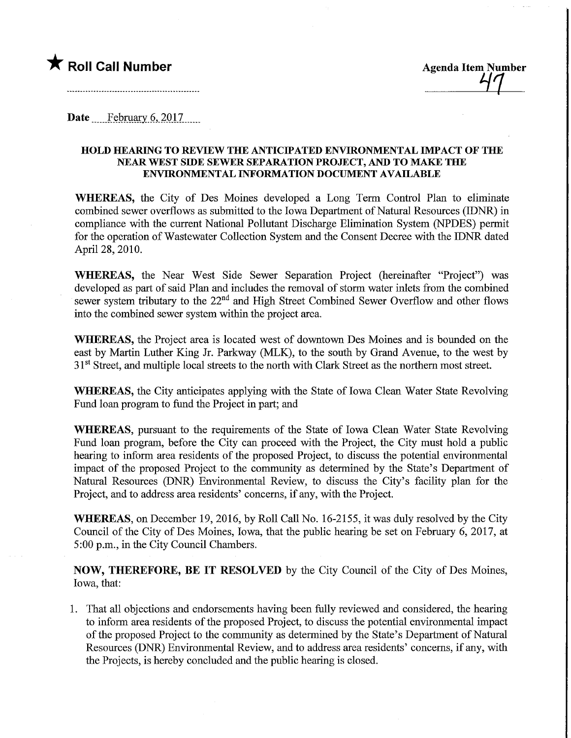## $\bigstar$  Roll Call Number  $\bigstar$  Agenda Item Number

Date  $\qquad$  February 6, 2017

## HOLD HEARING TO REVIEW THE ANTICffATED ENVIRONMENTAL IMPACT OF THE NEAR WEST SIDE SEWER SEPARATION PROJECT, AND TO MAKE THE ENVIRONMENTAL INFORMATION DOCUMENT AVAILABLE

WHEREAS, the City of Des Moines developed a Long Term Control Plan to eliminate combined sewer overflows as submitted to the Iowa Department of Natural Resources (IDNR) in compliance with the current National Pollutant Discharge Elimination System (NPDES) permit for the operation of Wastewater Collection System and the Consent Decree with the IDNR dated April 28, 2010.

WHEREAS, the Near West Side Sewer Separation Project (hereinafter "Project") was developed as part of said Plan and includes the removal of storm water inlets from the combined sewer system tributary to the 22<sup>nd</sup> and High Street Combined Sewer Overflow and other flows into the combined sewer system within the project area.

WHEREAS, the Project area is located west of downtown Des Moines and is bounded on the east by Martin Luther King Jr. Parkway (MLK), to the south by Grand Avenue, to the west by 3<sup>1st</sup> Street, and multiple local streets to the north with Clark Street as the northern most street.

WHEREAS, the City anticipates applying with the State of Iowa Clean Water State Revolving Fund loan program to fund the Project in part; and

WHEREAS, pursuant to the requirements of the State of Iowa Clean Water State Revolving Fund loan program, before the City can proceed with the Project, the City must hold a public hearing to inform area residents of the proposed Project, to discuss the potential environmental impact of the proposed Project to the community as determined by the State's Department of Natural Resources (DNR) Environmental Review, to discuss the City's facility plan for the Project, and to address area residents' concerns, if any, with the Project.

WHEREAS, on December 19, 2016, by Roll Call No. 16-2155, it was duly resolved by the City Council of the City of Des Moines, Iowa, that the public hearing be set on February 6, 2017, at 5:00 p.m., in the City Council Chambers.

NOW, THEREFORE, BE IT RESOLVED by the City Council of the City of Des Moines, Iowa, that:

1. That all objections and endorsements having been fully reviewed and considered, the hearing to inform area residents of the proposed Project, to discuss the potential environmental impact of the proposed Project to the community as determined by the State's Department of Natural Resources (DNR) Environmental Review, and to address area residents' concerns, if any, with the Projects, is hereby concluded and the public hearing is closed.